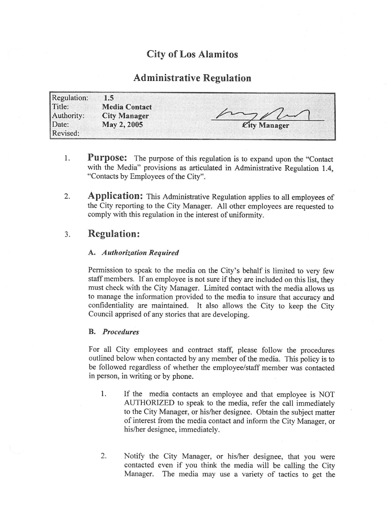# City of Los Alamitos

## Administrative Regulation

| Regulation: | 1.5                  |              |
|-------------|----------------------|--------------|
| Title:      | <b>Media Contact</b> |              |
| Authority:  | <b>City Manager</b>  |              |
| Date:       | May 2, 2005          | City Manager |
| Revised:    |                      |              |

- 1. **Purpose:** The purpose of this regulation is to expand upon the "Contact" with the Media" provisions as articulated in Administrative Regulation 1.4, Contacts by Employees of the City".
- 2. Application: This Administrative Regulation applies to all employees of the City reporting to the City Manager. All other employees are requested to comply with this regulation in the interest of uniformity.

### 3. Regulation:

#### A. Authorization Required

Permission to speak to the media on the City's behalf is limited to very few staff members. If an employee is not sure if they are included on this list, they must check with the City Manager. Limited contact with the media allows us to manage the information provided to the media to insure that accuracy and confidentiality are maintained. It also allows the City to keep the City Council apprised of any stories that are developing.

#### B. Procedures

For all City employees and contract staff, please follow the procedures outlined below when contacted by any member of the media. This policy is to be followed regardless of whether the employee/staff member was contacted in person, in writing or by phone.

- 1. If the media contacts an employee and that employee is NOT AUTHORIZED to speak to the media, refer the call immediately to the City Manager, or his/her designee. Obtain the subject matter of interest from the media contact and inform the City Manager, or his/her designee, immediately.
- 2. Notify the City Manager, or his/her designee, that you were contacted even if you think the media will be calling the City Manager. The media may use <sup>a</sup> variety of tactics to get the